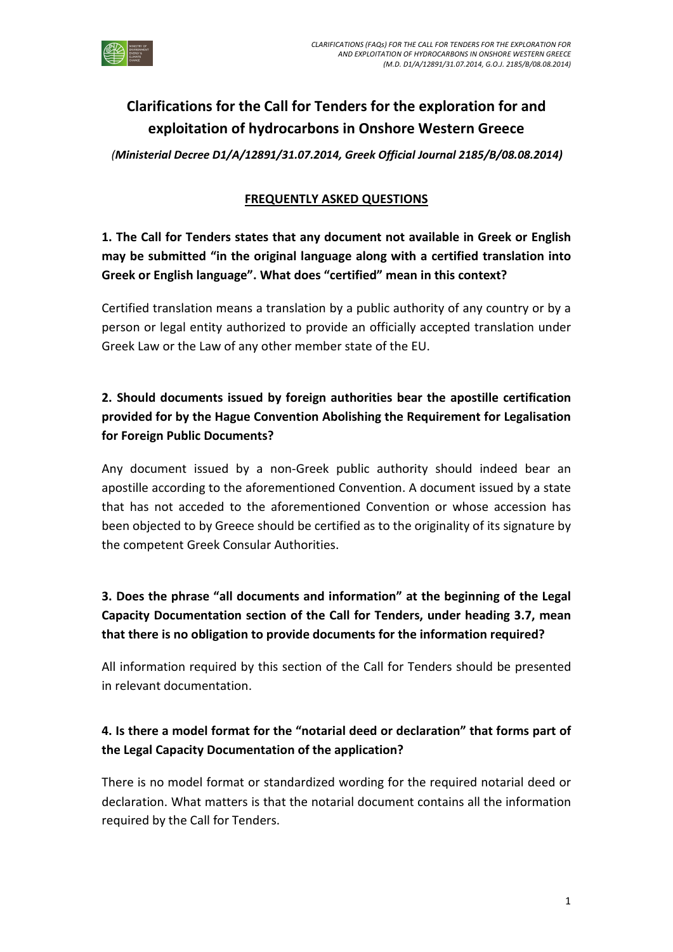

# Clarifications for the Call for Tenders for the exploration for and exploitation of hydrocarbons in Onshore Western Greece

(Ministerial Decree D1/Α/12891/31.07.2014, Greek Official Journal 2185/B/08.08.2014)

#### FREQUENTLY ASKED QUESTIONS

## 1. The Call for Tenders states that any document not available in Greek or English may be submitted "in the original language along with a certified translation into Greek or English language". What does "certified" mean in this context?

Certified translation means a translation by a public authority of any country or by a person or legal entity authorized to provide an officially accepted translation under Greek Law or the Law of any other member state of the EU.

# 2. Should documents issued by foreign authorities bear the apostille certification provided for by the Hague Convention Abolishing the Requirement for Legalisation for Foreign Public Documents?

Any document issued by a non-Greek public authority should indeed bear an apostille according to the aforementioned Convention. A document issued by a state that has not acceded to the aforementioned Convention or whose accession has been objected to by Greece should be certified as to the originality of its signature by the competent Greek Consular Authorities.

# 3. Does the phrase "all documents and information" at the beginning of the Legal Capacity Documentation section of the Call for Tenders, under heading 3.7, mean that there is no obligation to provide documents for the information required?

All information required by this section of the Call for Tenders should be presented in relevant documentation.

### 4. Is there a model format for the "notarial deed or declaration" that forms part of the Legal Capacity Documentation of the application?

There is no model format or standardized wording for the required notarial deed or declaration. What matters is that the notarial document contains all the information required by the Call for Tenders.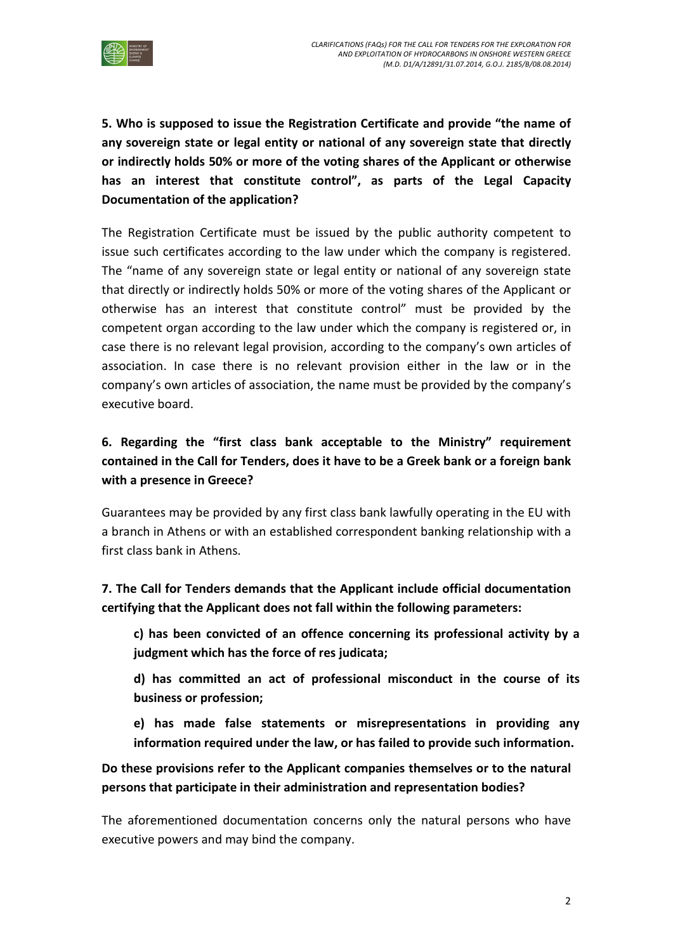

5. Who is supposed to issue the Registration Certificate and provide "the name of any sovereign state or legal entity or national of any sovereign state that directly or indirectly holds 50% or more of the voting shares of the Applicant or otherwise has an interest that constitute control", as parts of the Legal Capacity Documentation of the application?

The Registration Certificate must be issued by the public authority competent to issue such certificates according to the law under which the company is registered. The "name of any sovereign state or legal entity or national of any sovereign state that directly or indirectly holds 50% or more of the voting shares of the Applicant or otherwise has an interest that constitute control" must be provided by the competent organ according to the law under which the company is registered or, in case there is no relevant legal provision, according to the company's own articles of association. In case there is no relevant provision either in the law or in the company's own articles of association, the name must be provided by the company's executive board.

### 6. Regarding the "first class bank acceptable to the Ministry" requirement contained in the Call for Tenders, does it have to be a Greek bank or a foreign bank with a presence in Greece?

Guarantees may be provided by any first class bank lawfully operating in the EU with a branch in Athens or with an established correspondent banking relationship with a first class bank in Athens.

### 7. The Call for Tenders demands that the Applicant include official documentation certifying that the Applicant does not fall within the following parameters:

c) has been convicted of an offence concerning its professional activity by a judgment which has the force of res judicata;

d) has committed an act of professional misconduct in the course of its business or profession;

e) has made false statements or misrepresentations in providing any information required under the law, or has failed to provide such information.

#### Do these provisions refer to the Applicant companies themselves or to the natural persons that participate in their administration and representation bodies?

The aforementioned documentation concerns only the natural persons who have executive powers and may bind the company.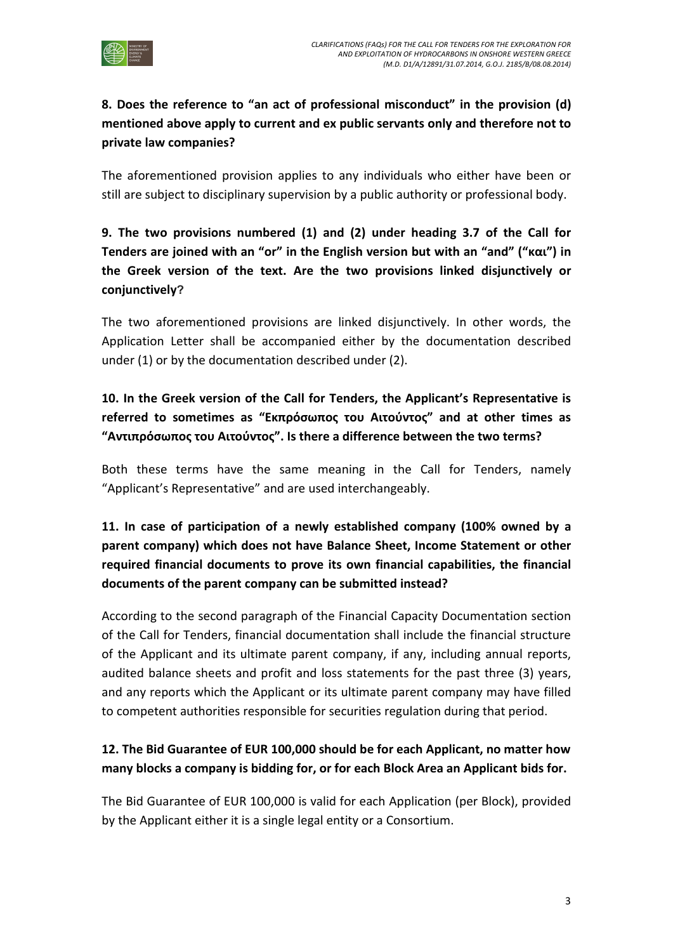

### 8. Does the reference to "an act of professional misconduct" in the provision (d) mentioned above apply to current and ex public servants only and therefore not to private law companies?

The aforementioned provision applies to any individuals who either have been or still are subject to disciplinary supervision by a public authority or professional body.

# 9. The two provisions numbered (1) and (2) under heading 3.7 of the Call for Tenders are joined with an "or" in the English version but with an "and" ("και") in the Greek version of the text. Are the two provisions linked disjunctively or conjunctively?

The two aforementioned provisions are linked disjunctively. In other words, the Application Letter shall be accompanied either by the documentation described under (1) or by the documentation described under (2).

## 10. In the Greek version of the Call for Tenders, the Applicant's Representative is referred to sometimes as "Εκπρόσωπος του Αιτούντος" and at other times as "Αντιπρόσωπος του Αιτούντος". Is there a difference between the two terms?

Both these terms have the same meaning in the Call for Tenders, namely "Applicant's Representative" and are used interchangeably.

## 11. In case of participation of a newly established company (100% owned by a parent company) which does not have Balance Sheet, Income Statement or other required financial documents to prove its own financial capabilities, the financial documents of the parent company can be submitted instead?

According to the second paragraph of the Financial Capacity Documentation section of the Call for Tenders, financial documentation shall include the financial structure of the Applicant and its ultimate parent company, if any, including annual reports, audited balance sheets and profit and loss statements for the past three (3) years, and any reports which the Applicant or its ultimate parent company may have filled to competent authorities responsible for securities regulation during that period.

### 12. The Bid Guarantee of EUR 100,000 should be for each Applicant, no matter how many blocks a company is bidding for, or for each Block Area an Applicant bids for.

The Bid Guarantee of EUR 100,000 is valid for each Application (per Block), provided by the Applicant either it is a single legal entity or a Consortium.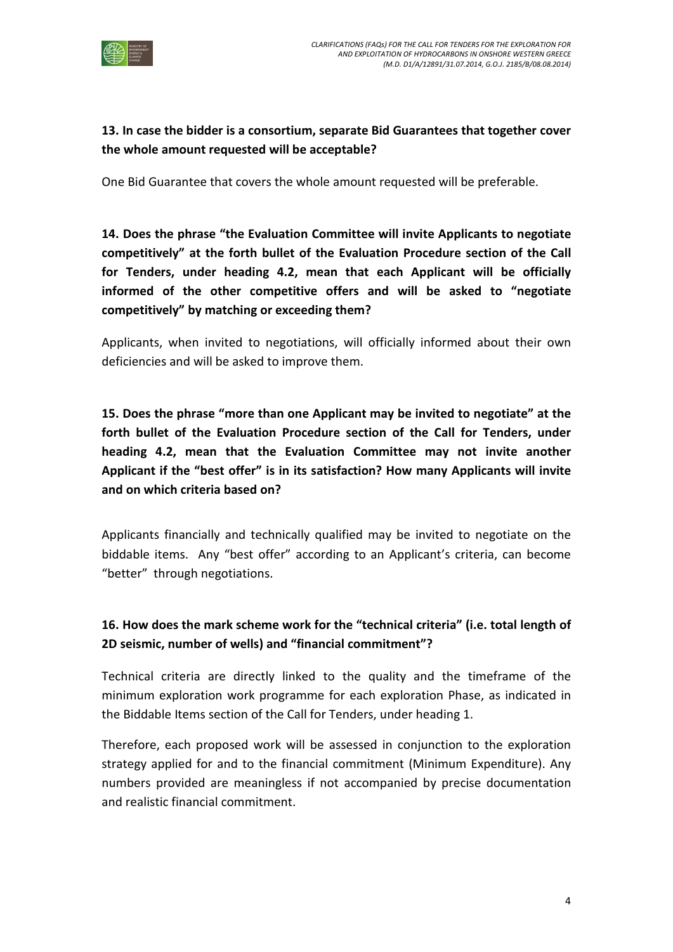

### 13. In case the bidder is a consortium, separate Bid Guarantees that together cover the whole amount requested will be acceptable?

One Bid Guarantee that covers the whole amount requested will be preferable.

14. Does the phrase "the Evaluation Committee will invite Applicants to negotiate competitively" at the forth bullet of the Evaluation Procedure section of the Call for Tenders, under heading 4.2, mean that each Applicant will be officially informed of the other competitive offers and will be asked to "negotiate competitively" by matching or exceeding them?

Applicants, when invited to negotiations, will officially informed about their own deficiencies and will be asked to improve them.

15. Does the phrase "more than one Applicant may be invited to negotiate" at the forth bullet of the Evaluation Procedure section of the Call for Tenders, under heading 4.2, mean that the Evaluation Committee may not invite another Applicant if the "best offer" is in its satisfaction? How many Applicants will invite and on which criteria based on?

Applicants financially and technically qualified may be invited to negotiate on the biddable items. Any "best offer" according to an Applicant's criteria, can become "better" through negotiations.

### 16. How does the mark scheme work for the "technical criteria" (i.e. total length of 2D seismic, number of wells) and "financial commitment"?

Technical criteria are directly linked to the quality and the timeframe of the minimum exploration work programme for each exploration Phase, as indicated in the Biddable Items section of the Call for Tenders, under heading 1.

Therefore, each proposed work will be assessed in conjunction to the exploration strategy applied for and to the financial commitment (Minimum Expenditure). Any numbers provided are meaningless if not accompanied by precise documentation and realistic financial commitment.